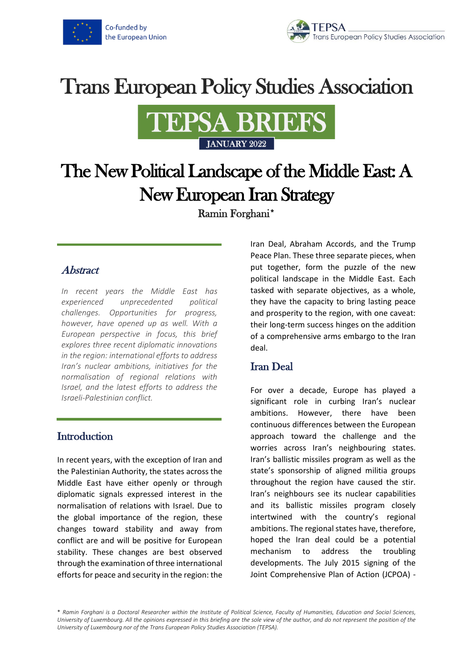

# **Trans European Policy Studies Association**



# The New Political Landscape of the Middle East: A New European Iran Strategy

Ramin Forghani\*

## Abstract

*In recent years the Middle East has experienced unprecedented political challenges. Opportunities for progress, however, have opened up as well. With a European perspective in focus, this brief explores three recent diplomatic innovations in the region: international efforts to address Iran's nuclear ambitions, initiatives for the normalisation of regional relations with Israel, and the latest efforts to address the Israeli-Palestinian conflict.*

### **Introduction**

In recent years, with the exception of Iran and the Palestinian Authority, the states across the Middle East have either openly or through diplomatic signals expressed interest in the normalisation of relations with Israel. Due to the global importance of the region, these changes toward stability and away from conflict are and will be positive for European stability. These changes are best observed through the examination of three international efforts for peace and security in the region: the Iran Deal, Abraham Accords, and the Trump Peace Plan. These three separate pieces, when put together, form the puzzle of the new political landscape in the Middle East. Each tasked with separate objectives, as a whole, they have the capacity to bring lasting peace and prosperity to the region, with one caveat: their long-term success hinges on the addition of a comprehensive arms embargo to the Iran deal.

# Iran Deal

For over a decade, Europe has played a significant role in curbing Iran's nuclear ambitions. However, there have been continuous differences between the European approach toward the challenge and the worries across Iran's neighbouring states. Iran's ballistic missiles program as well as the state's sponsorship of aligned militia groups throughout the region have caused the stir. Iran's neighbours see its nuclear capabilities and its ballistic missiles program closely intertwined with the country's regional ambitions. The regional states have, therefore, hoped the Iran deal could be a potential mechanism to address the troubling developments. The July 2015 signing of the Joint Comprehensive Plan of Action (JCPOA) -

\* *Ramin Forghani is a Doctoral Researcher within the Institute of Political Science, Faculty of Humanities, Education and Social Sciences, University of Luxembourg. All the opinions expressed in this briefing are the sole view of the author, and do not represent the position of the University of Luxembourg nor of the Trans European Policy Studies Association (TEPSA).*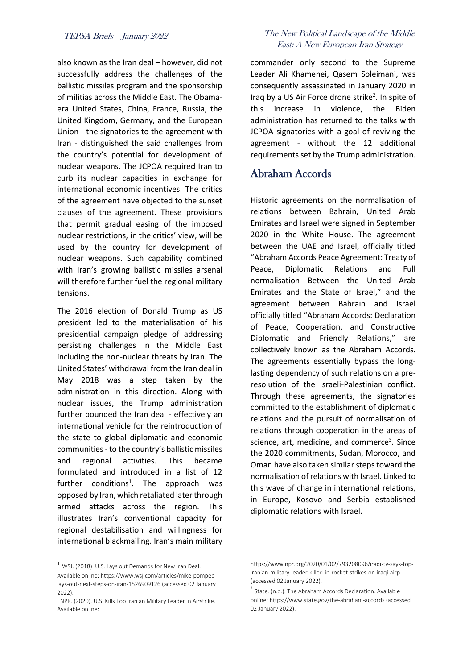also known as the Iran deal – however, did not successfully address the challenges of the ballistic missiles program and the sponsorship of militias across the Middle East. The Obamaera United States, China, France, Russia, the United Kingdom, Germany, and the European Union - the signatories to the agreement with Iran - distinguished the said challenges from the country's potential for development of nuclear weapons. The JCPOA required Iran to curb its nuclear capacities in exchange for international economic incentives. The critics of the agreement have objected to the sunset clauses of the agreement. These provisions that permit gradual easing of the imposed nuclear restrictions, in the critics' view, will be used by the country for development of nuclear weapons. Such capability combined with Iran's growing ballistic missiles arsenal will therefore further fuel the regional military tensions.

The 2016 election of Donald Trump as US president led to the materialisation of his presidential campaign pledge of addressing persisting challenges in the Middle East including the non-nuclear threats by Iran. The United States' withdrawal from the Iran deal in May 2018 was a step taken by the administration in this direction. Along with nuclear issues, the Trump administration further bounded the Iran deal - effectively an international vehicle for the reintroduction of the state to global diplomatic and economic communities - to the country's ballistic missiles and regional activities. This became formulated and introduced in a list of 12 further conditions<sup>1</sup>. The approach was opposed by Iran, which retaliated later through armed attacks across the region. This illustrates Iran's conventional capacity for regional destabilisation and willingness for international blackmailing. Iran's main military

#### TEPSA Briefs – January 2022 The New Political Landscape of the Middle East: A New European Iran Strategy

commander only second to the Supreme Leader Ali Khamenei, Qasem Soleimani, was consequently assassinated in January 2020 in Iraq by a US Air Force drone strike<sup>2</sup>. In spite of this increase in violence, the Biden administration has returned to the talks with JCPOA signatories with a goal of reviving the agreement - without the 12 additional requirements set by the Trump administration.

### Abraham Accords

Historic agreements on the normalisation of relations between Bahrain, United Arab Emirates and Israel were signed in September 2020 in the White House. The agreement between the UAE and Israel, officially titled "Abraham Accords Peace Agreement: Treaty of Peace, Diplomatic Relations and Full normalisation Between the United Arab Emirates and the State of Israel," and the agreement between Bahrain and Israel officially titled "Abraham Accords: Declaration of Peace, Cooperation, and Constructive Diplomatic and Friendly Relations," are collectively known as the Abraham Accords. The agreements essentially bypass the longlasting dependency of such relations on a preresolution of the Israeli-Palestinian conflict. Through these agreements, the signatories committed to the establishment of diplomatic relations and the pursuit of normalisation of relations through cooperation in the areas of science, art, medicine, and commerce<sup>3</sup>. Since the 2020 commitments, Sudan, Morocco, and Oman have also taken similar steps toward the normalisation of relations with Israel. Linked to this wave of change in international relations, in Europe, Kosovo and Serbia established diplomatic relations with Israel.

<sup>1</sup> WSJ. (2018). U.S. Lays out Demands for New Iran Deal.

Available online: https://www.wsj.com/articles/mike-pompeolays-out-next-steps-on-iran-1526909126 (accessed 02 January 2022).

<sup>&</sup>lt;sup>2</sup> NPR. (2020). U.S. Kills Top Iranian Military Leader in Airstrike. Available online:

https://www.npr.org/2020/01/02/793208096/iraqi-tv-says-topiranian-military-leader-killed-in-rocket-strikes-on-iraqi-airp (accessed 02 January 2022).

<sup>3</sup> State. (n.d.). The Abraham Accords Declaration. Available online: https://www.state.gov/the-abraham-accords (accessed 02 January 2022).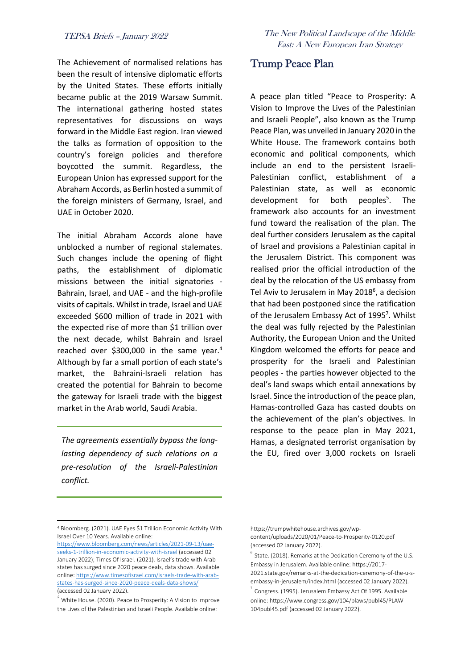The Achievement of normalised relations has been the result of intensive diplomatic efforts by the United States. These efforts initially became public at the 2019 Warsaw Summit. The international gathering hosted states representatives for discussions on ways forward in the Middle East region. Iran viewed the talks as formation of opposition to the country's foreign policies and therefore boycotted the summit. Regardless, the European Union has expressed support for the Abraham Accords, as Berlin hosted a summit of the foreign ministers of Germany, Israel, and UAE in October 2020.

The initial Abraham Accords alone have unblocked a number of regional stalemates. Such changes include the opening of flight paths, the establishment of diplomatic missions between the initial signatories - Bahrain, Israel, and UAE - and the high-profile visits of capitals. Whilst in trade, Israel and UAE exceeded \$600 million of trade in 2021 with the expected rise of more than \$1 trillion over the next decade, whilst Bahrain and Israel reached over \$300,000 in the same year.<sup>4</sup> Although by far a small portion of each state's market, the Bahraini-Israeli relation has created the potential for Bahrain to become the gateway for Israeli trade with the biggest market in the Arab world, Saudi Arabia.

*The agreements essentially bypass the longlasting dependency of such relations on a pre-resolution of the Israeli-Palestinian conflict.*

TEPSA Briefs – January 2022 The New Political Landscape of the Middle East: A New European Iran Strategy

#### Trump Peace Plan

A peace plan titled "Peace to Prosperity: A Vision to Improve the Lives of the Palestinian and Israeli People", also known as the Trump Peace Plan, was unveiled in January 2020 in the White House. The framework contains both economic and political components, which include an end to the persistent Israeli-Palestinian conflict, establishment of a Palestinian state, as well as economic development for both peoples<sup>5</sup>. . The framework also accounts for an investment fund toward the realisation of the plan. The deal further considers Jerusalem as the capital of Israel and provisions a Palestinian capital in the Jerusalem District. This component was realised prior the official introduction of the deal by the relocation of the US embassy from Tel Aviv to Jerusalem in May 2018<sup>6</sup>, a decision that had been postponed since the ratification of the Jerusalem Embassy Act of 1995<sup>7</sup>. Whilst the deal was fully rejected by the Palestinian Authority, the European Union and the United Kingdom welcomed the efforts for peace and prosperity for the Israeli and Palestinian peoples - the parties however objected to the deal's land swaps which entail annexations by Israel. Since the introduction of the peace plan, Hamas-controlled Gaza has casted doubts on the achievement of the plan's objectives. In response to the peace plan in May 2021, Hamas, a designated terrorist organisation by the EU, fired over 3,000 rockets on Israeli

<sup>4</sup> Bloomberg. (2021). UAE Eyes \$1 Trillion Economic Activity With Israel Over 10 Years. Available online:

[https://www.bloomberg.com/news/articles/2021-09-13/uae](https://www.bloomberg.com/news/articles/2021-09-13/uae-seeks-1-trillion-in-economic-activity-with-israel)[seeks-1-trillion-in-economic-activity-with-israel](https://www.bloomberg.com/news/articles/2021-09-13/uae-seeks-1-trillion-in-economic-activity-with-israel) (accessed 02 January 2022); Times Of Israel. (2021). Israel's trade with Arab states has surged since 2020 peace deals, data shows. Available online[: https://www.timesofisrael.com/israels-trade-with-arab](https://www.timesofisrael.com/israels-trade-with-arab-states-has-surged-since-2020-peace-deals-data-shows/)[states-has-surged-since-2020-peace-deals-data-shows/](https://www.timesofisrael.com/israels-trade-with-arab-states-has-surged-since-2020-peace-deals-data-shows/) (accessed 02 January 2022).

 $\delta$  White House. (2020). Peace to Prosperity: A Vision to Improve the Lives of the Palestinian and Israeli People. Available online:

https://trumpwhitehouse.archives.gov/wpcontent/uploads/2020/01/Peace-to-Prosperity-0120.pdf (accessed 02 January 2022).

 $^6$  State. (2018). Remarks at the Dedication Ceremony of the U.S. Embassy in Jerusalem. Available online: https://2017- 2021.state.gov/remarks-at-the-dedication-ceremony-of-the-u-sembassy-in-jerusalem/index.html (accessed 02 January 2022).

 $7$  Congress. (1995). Jerusalem Embassy Act Of 1995. Available online: https://www.congress.gov/104/plaws/publ45/PLAW-104publ45.pdf (accessed 02 January 2022).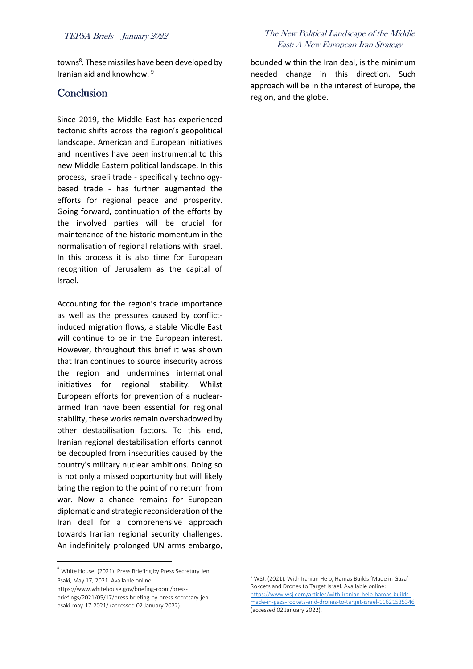towns<sup>8</sup>. These missiles have been developed by Iranian aid and knowhow. <sup>9</sup>

#### **Conclusion**

Since 2019, the Middle East has experienced tectonic shifts across the region's geopolitical landscape. American and European initiatives and incentives have been instrumental to this new Middle Eastern political landscape. In this process, Israeli trade - specifically technologybased trade - has further augmented the efforts for regional peace and prosperity. Going forward, continuation of the efforts by the involved parties will be crucial for maintenance of the historic momentum in the normalisation of regional relations with Israel. In this process it is also time for European recognition of Jerusalem as the capital of Israel.

Accounting for the region's trade importance as well as the pressures caused by conflictinduced migration flows, a stable Middle East will continue to be in the European interest. However, throughout this brief it was shown that Iran continues to source insecurity across the region and undermines international initiatives for regional stability. Whilst European efforts for prevention of a nucleararmed Iran have been essential for regional stability, these works remain overshadowed by other destabilisation factors. To this end, Iranian regional destabilisation efforts cannot be decoupled from insecurities caused by the country's military nuclear ambitions. Doing so is not only a missed opportunity but will likely bring the region to the point of no return from war. Now a chance remains for European diplomatic and strategic reconsideration of the Iran deal for a comprehensive approach towards Iranian regional security challenges. An indefinitely prolonged UN arms embargo,

#### TEPSA Briefs – January 2022 The New Political Landscape of the Middle East: A New European Iran Strategy

bounded within the Iran deal, is the minimum needed change in this direction. Such approach will be in the interest of Europe, the region, and the globe.

<sup>8</sup> White House. (2021). Press Briefing by Press Secretary Jen Psaki, May 17, 2021. Available online: https://www.whitehouse.gov/briefing-room/press-

briefings/2021/05/17/press-briefing-by-press-secretary-jenpsaki-may-17-2021/ (accessed 02 January 2022).

<sup>9</sup> WSJ. (2021). With Iranian Help, Hamas Builds 'Made in Gaza' Rokcets and Drones to Target Israel. Available online: [https://www.wsj.com/articles/with-iranian-help-hamas-builds](https://www.wsj.com/articles/with-iranian-help-hamas-builds-made-in-gaza-rockets-and-drones-to-target-israel-11621535346)[made-in-gaza-rockets-and-drones-to-target-israel-11621535346](https://www.wsj.com/articles/with-iranian-help-hamas-builds-made-in-gaza-rockets-and-drones-to-target-israel-11621535346) (accessed 02 January 2022).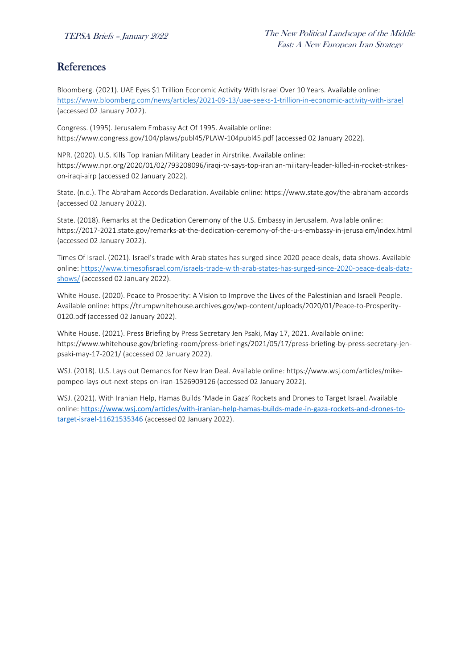# References

Bloomberg. (2021). UAE Eyes \$1 Trillion Economic Activity With Israel Over 10 Years. Available online: <https://www.bloomberg.com/news/articles/2021-09-13/uae-seeks-1-trillion-in-economic-activity-with-israel> (accessed 02 January 2022).

Congress. (1995). Jerusalem Embassy Act Of 1995. Available online: https://www.congress.gov/104/plaws/publ45/PLAW-104publ45.pdf (accessed 02 January 2022).

NPR. (2020). U.S. Kills Top Iranian Military Leader in Airstrike. Available online: https://www.npr.org/2020/01/02/793208096/iraqi-tv-says-top-iranian-military-leader-killed-in-rocket-strikeson-iraqi-airp (accessed 02 January 2022).

State. (n.d.). The Abraham Accords Declaration. Available online: https://www.state.gov/the-abraham-accords (accessed 02 January 2022).

State. (2018). Remarks at the Dedication Ceremony of the U.S. Embassy in Jerusalem. Available online: https://2017-2021.state.gov/remarks-at-the-dedication-ceremony-of-the-u-s-embassy-in-jerusalem/index.html (accessed 02 January 2022).

Times Of Israel. (2021). Israel's trade with Arab states has surged since 2020 peace deals, data shows. Available online: [https://www.timesofisrael.com/israels-trade-with-arab-states-has-surged-since-2020-peace-deals-data](https://www.timesofisrael.com/israels-trade-with-arab-states-has-surged-since-2020-peace-deals-data-shows/)[shows/](https://www.timesofisrael.com/israels-trade-with-arab-states-has-surged-since-2020-peace-deals-data-shows/) (accessed 02 January 2022).

White House. (2020). Peace to Prosperity: A Vision to Improve the Lives of the Palestinian and Israeli People. Available online: https://trumpwhitehouse.archives.gov/wp-content/uploads/2020/01/Peace-to-Prosperity-0120.pdf (accessed 02 January 2022).

White House. (2021). Press Briefing by Press Secretary Jen Psaki, May 17, 2021. Available online: https://www.whitehouse.gov/briefing-room/press-briefings/2021/05/17/press-briefing-by-press-secretary-jenpsaki-may-17-2021/ (accessed 02 January 2022).

WSJ. (2018). U.S. Lays out Demands for New Iran Deal. Available online: https://www.wsj.com/articles/mikepompeo-lays-out-next-steps-on-iran-1526909126 (accessed 02 January 2022).

WSJ. (2021). With Iranian Help, Hamas Builds 'Made in Gaza' Rockets and Drones to Target Israel. Available online: [https://www.wsj.com/articles/with-iranian-help-hamas-builds-made-in-gaza-rockets-and-drones-to](https://www.wsj.com/articles/with-iranian-help-hamas-builds-made-in-gaza-rockets-and-drones-to-target-israel-11621535346)[target-israel-11621535346](https://www.wsj.com/articles/with-iranian-help-hamas-builds-made-in-gaza-rockets-and-drones-to-target-israel-11621535346) (accessed 02 January 2022).